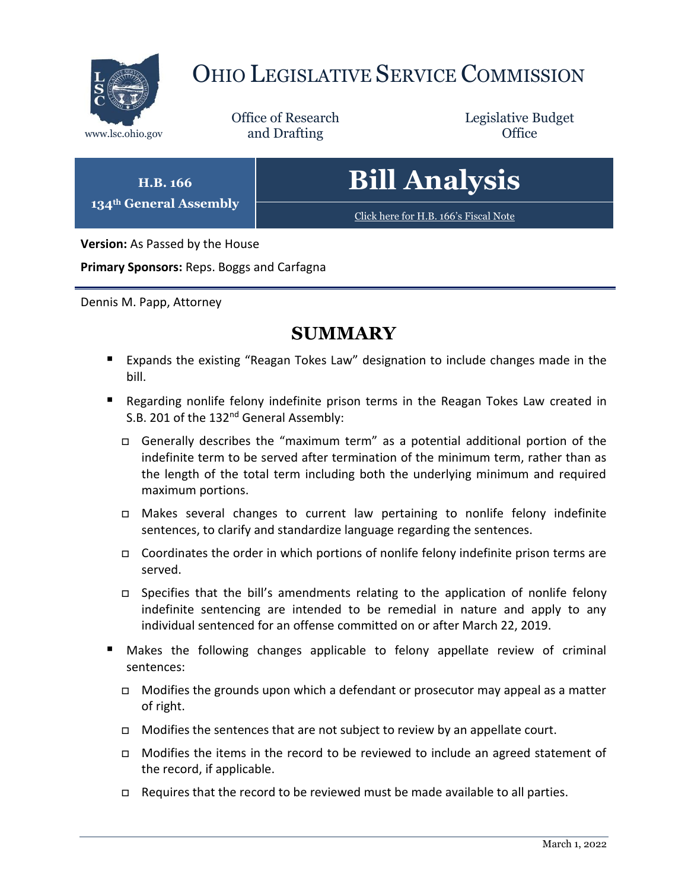

# OHIO LEGISLATIVE SERVICE COMMISSION

Office of Research www.lsc.ohio.gov **and Drafting Office** 

Legislative Budget

# **Bill Analysis**

[Click here for H.B. 166](https://www.legislature.ohio.gov/legislation/legislation-documents?id=GA134-HB-166)'s Fiscal Note

**Version:** As Passed by the House

**H.B. 166 134th General Assembly**

**Primary Sponsors:** Reps. Boggs and Carfagna

Dennis M. Papp, Attorney

## **SUMMARY**

- Expands the existing "Reagan Tokes Law" designation to include changes made in the bill.
- Regarding nonlife felony indefinite prison terms in the Reagan Tokes Law created in S.B. 201 of the 132<sup>nd</sup> General Assembly:
	- Generally describes the "maximum term" as a potential additional portion of the indefinite term to be served after termination of the minimum term, rather than as the length of the total term including both the underlying minimum and required maximum portions.
	- Makes several changes to current law pertaining to nonlife felony indefinite sentences, to clarify and standardize language regarding the sentences.
	- $\Box$  Coordinates the order in which portions of nonlife felony indefinite prison terms are served.
	- □ Specifies that the bill's amendments relating to the application of nonlife felony indefinite sentencing are intended to be remedial in nature and apply to any individual sentenced for an offense committed on or after March 22, 2019.
- Makes the following changes applicable to felony appellate review of criminal sentences:
	- $\Box$  Modifies the grounds upon which a defendant or prosecutor may appeal as a matter of right.
	- $\Box$  Modifies the sentences that are not subject to review by an appellate court.
	- $\Box$  Modifies the items in the record to be reviewed to include an agreed statement of the record, if applicable.
	- $\Box$  Requires that the record to be reviewed must be made available to all parties.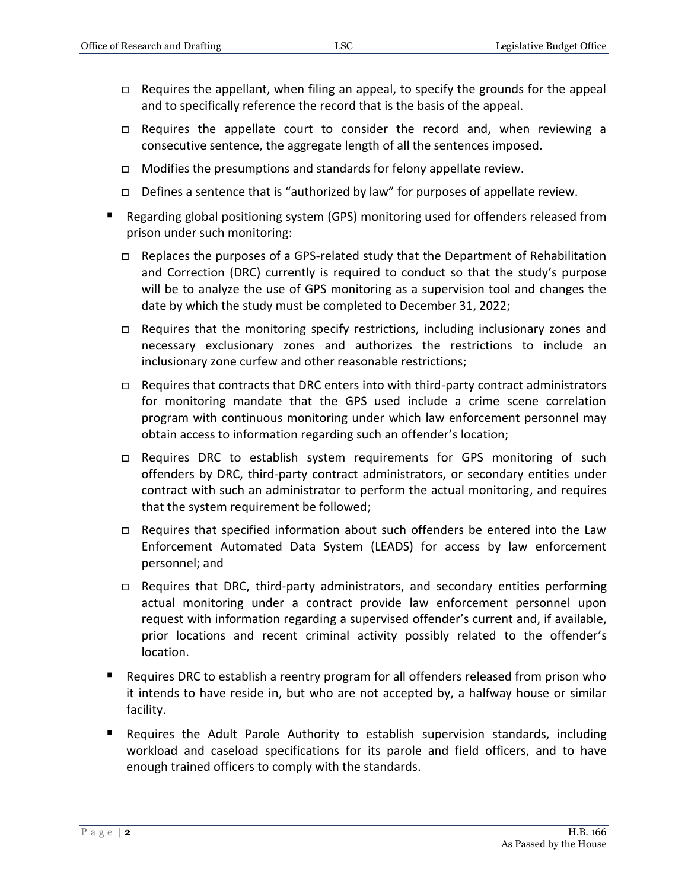- $\Box$  Requires the appellant, when filing an appeal, to specify the grounds for the appeal and to specifically reference the record that is the basis of the appeal.
- □ Requires the appellate court to consider the record and, when reviewing a consecutive sentence, the aggregate length of all the sentences imposed.
- $\Box$  Modifies the presumptions and standards for felony appellate review.
- $\Box$  Defines a sentence that is "authorized by law" for purposes of appellate review.
- Regarding global positioning system (GPS) monitoring used for offenders released from prison under such monitoring:
	- □ Replaces the purposes of a GPS-related study that the Department of Rehabilitation and Correction (DRC) currently is required to conduct so that the study's purpose will be to analyze the use of GPS monitoring as a supervision tool and changes the date by which the study must be completed to December 31, 2022;
	- $\Box$  Requires that the monitoring specify restrictions, including inclusionary zones and necessary exclusionary zones and authorizes the restrictions to include an inclusionary zone curfew and other reasonable restrictions;
	- □ Requires that contracts that DRC enters into with third-party contract administrators for monitoring mandate that the GPS used include a crime scene correlation program with continuous monitoring under which law enforcement personnel may obtain access to information regarding such an offender's location;
	- □ Requires DRC to establish system requirements for GPS monitoring of such offenders by DRC, third-party contract administrators, or secondary entities under contract with such an administrator to perform the actual monitoring, and requires that the system requirement be followed;
	- $\Box$  Requires that specified information about such offenders be entered into the Law Enforcement Automated Data System (LEADS) for access by law enforcement personnel; and
	- $\Box$  Requires that DRC, third-party administrators, and secondary entities performing actual monitoring under a contract provide law enforcement personnel upon request with information regarding a supervised offender's current and, if available, prior locations and recent criminal activity possibly related to the offender's location.
- Requires DRC to establish a reentry program for all offenders released from prison who it intends to have reside in, but who are not accepted by, a halfway house or similar facility.
- Requires the Adult Parole Authority to establish supervision standards, including workload and caseload specifications for its parole and field officers, and to have enough trained officers to comply with the standards.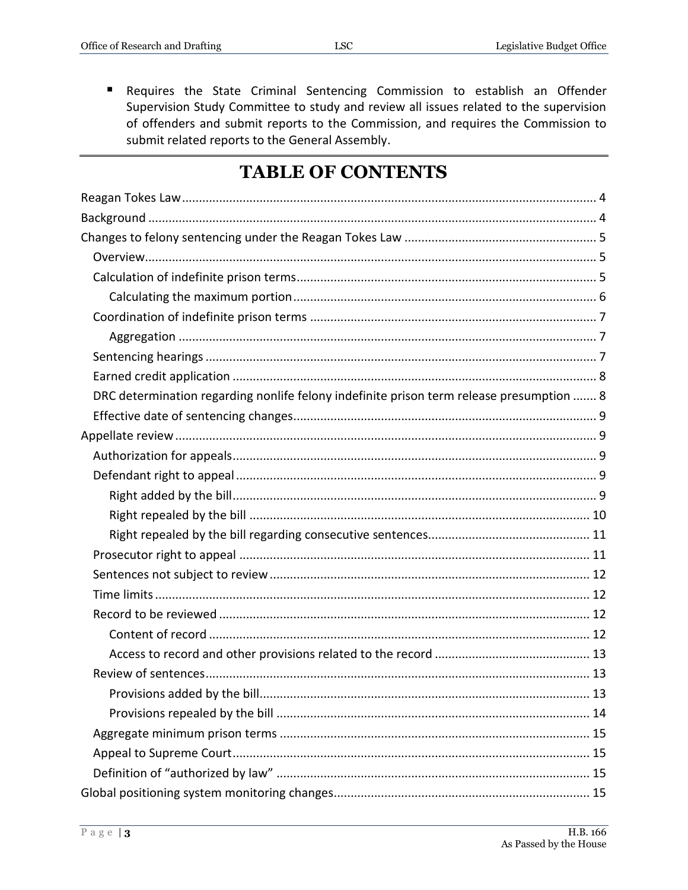Requires the State Criminal Sentencing Commission to establish an Offender  $\blacksquare$  . Supervision Study Committee to study and review all issues related to the supervision of offenders and submit reports to the Commission, and requires the Commission to submit related reports to the General Assembly.

## **TABLE OF CONTENTS**

| DRC determination regarding nonlife felony indefinite prison term release presumption  8 |
|------------------------------------------------------------------------------------------|
|                                                                                          |
|                                                                                          |
|                                                                                          |
|                                                                                          |
|                                                                                          |
|                                                                                          |
|                                                                                          |
|                                                                                          |
|                                                                                          |
|                                                                                          |
|                                                                                          |
|                                                                                          |
|                                                                                          |
|                                                                                          |
|                                                                                          |
|                                                                                          |
|                                                                                          |
|                                                                                          |
|                                                                                          |
|                                                                                          |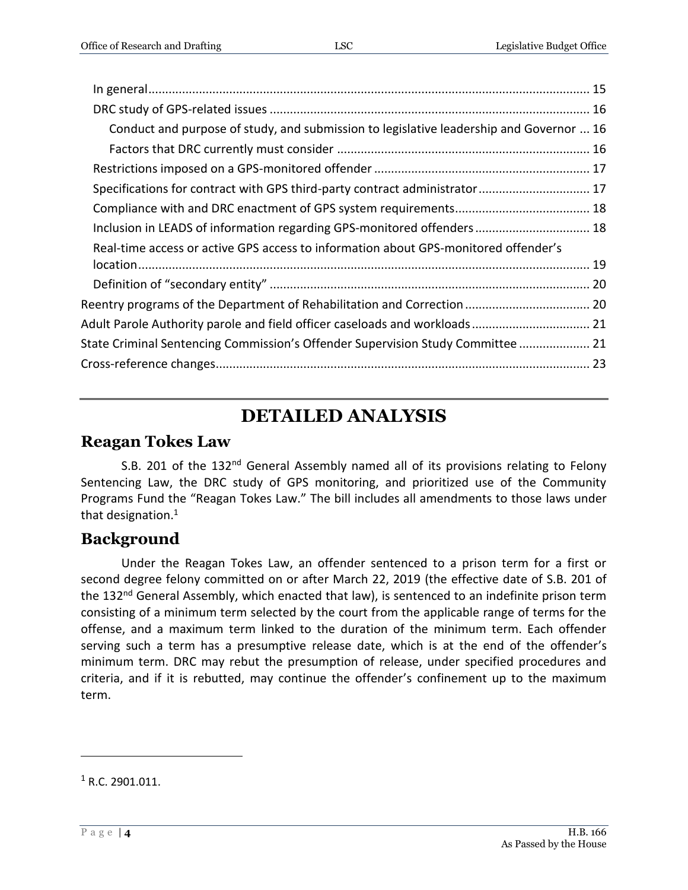| Conduct and purpose of study, and submission to legislative leadership and Governor  16 |  |
|-----------------------------------------------------------------------------------------|--|
|                                                                                         |  |
|                                                                                         |  |
| Specifications for contract with GPS third-party contract administrator 17              |  |
|                                                                                         |  |
| Inclusion in LEADS of information regarding GPS-monitored offenders 18                  |  |
| Real-time access or active GPS access to information about GPS-monitored offender's     |  |
|                                                                                         |  |
|                                                                                         |  |
| Reentry programs of the Department of Rehabilitation and Correction  20                 |  |
| Adult Parole Authority parole and field officer caseloads and workloads 21              |  |
| State Criminal Sentencing Commission's Offender Supervision Study Committee  21         |  |
|                                                                                         |  |
|                                                                                         |  |

## **DETAILED ANALYSIS**

#### <span id="page-3-0"></span>**Reagan Tokes Law**

S.B. 201 of the 132<sup>nd</sup> General Assembly named all of its provisions relating to Felony Sentencing Law, the DRC study of GPS monitoring, and prioritized use of the Community Programs Fund the "Reagan Tokes Law." The bill includes all amendments to those laws under that designation.<sup>1</sup>

#### <span id="page-3-1"></span>**Background**

Under the Reagan Tokes Law, an offender sentenced to a prison term for a first or second degree felony committed on or after March 22, 2019 (the effective date of S.B. 201 of the 132<sup>nd</sup> General Assembly, which enacted that law), is sentenced to an indefinite prison term consisting of a minimum term selected by the court from the applicable range of terms for the offense, and a maximum term linked to the duration of the minimum term. Each offender serving such a term has a presumptive release date, which is at the end of the offender's minimum term. DRC may rebut the presumption of release, under specified procedures and criteria, and if it is rebutted, may continue the offender's confinement up to the maximum term.

 $1 R.C. 2901.011$ .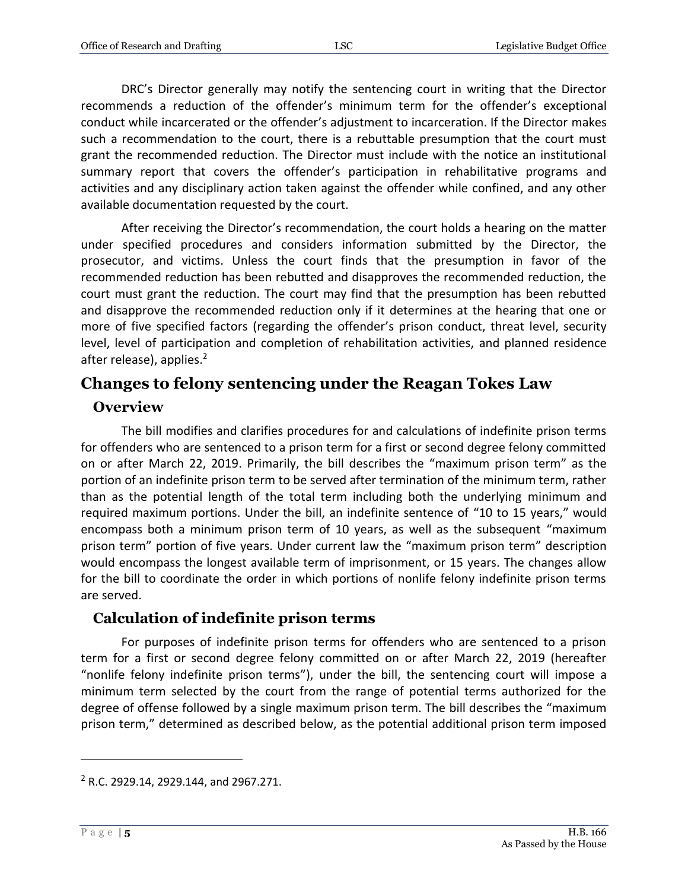DRC's Director generally may notify the sentencing court in writing that the Director recommends a reduction of the offender's minimum term for the offender's exceptional conduct while incarcerated or the offender's adjustment to incarceration. If the Director makes such a recommendation to the court, there is a rebuttable presumption that the court must grant the recommended reduction. The Director must include with the notice an institutional summary report that covers the offender's participation in rehabilitative programs and activities and any disciplinary action taken against the offender while confined, and any other available documentation requested by the court.

After receiving the Director's recommendation, the court holds a hearing on the matter under specified procedures and considers information submitted by the Director, the prosecutor, and victims. Unless the court finds that the presumption in favor of the recommended reduction has been rebutted and disapproves the recommended reduction, the court must grant the reduction. The court may find that the presumption has been rebutted and disapprove the recommended reduction only if it determines at the hearing that one or more of five specified factors (regarding the offender's prison conduct, threat level, security level, level of participation and completion of rehabilitation activities, and planned residence after release), applies.<sup>2</sup>

## <span id="page-4-0"></span>**Changes to felony sentencing under the Reagan Tokes Law**

## <span id="page-4-1"></span>**Overview**

The bill modifies and clarifies procedures for and calculations of indefinite prison terms for offenders who are sentenced to a prison term for a first or second degree felony committed on or after March 22, 2019. Primarily, the bill describes the "maximum prison term" as the portion of an indefinite prison term to be served after termination of the minimum term, rather than as the potential length of the total term including both the underlying minimum and required maximum portions. Under the bill, an indefinite sentence of "10 to 15 years," would encompass both a minimum prison term of 10 years, as well as the subsequent "maximum prison term" portion of five years. Under current law the "maximum prison term" description would encompass the longest available term of imprisonment, or 15 years. The changes allow for the bill to coordinate the order in which portions of nonlife felony indefinite prison terms are served.

#### <span id="page-4-2"></span>**Calculation of indefinite prison terms**

For purposes of indefinite prison terms for offenders who are sentenced to a prison term for a first or second degree felony committed on or after March 22, 2019 (hereafter "nonlife felony indefinite prison terms"), under the bill, the sentencing court will impose a minimum term selected by the court from the range of potential terms authorized for the degree of offense followed by a single maximum prison term. The bill describes the "maximum prison term," determined as described below, as the potential additional prison term imposed

 $2$  R.C. 2929.14, 2929.144, and 2967.271.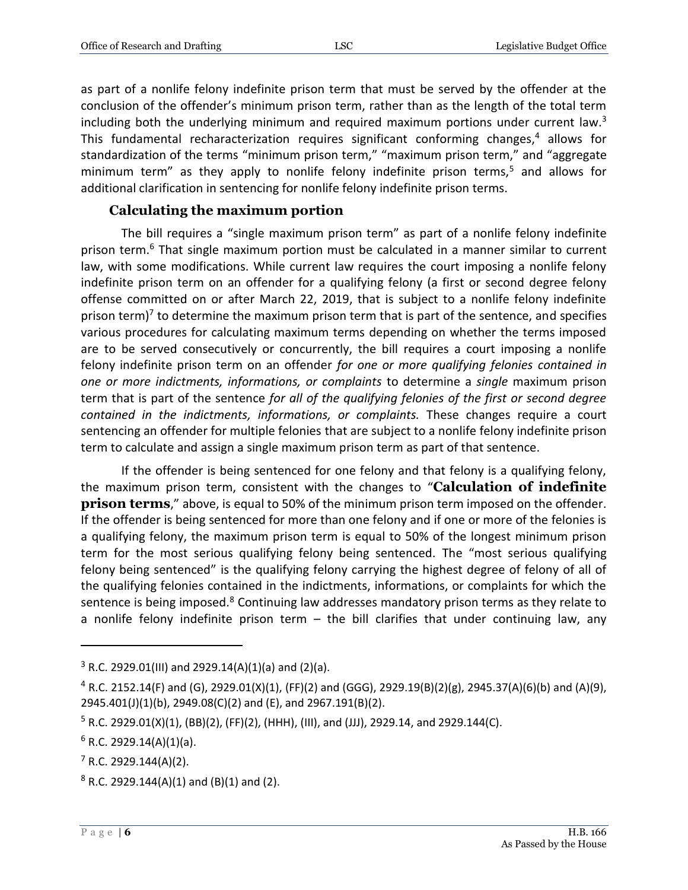as part of a nonlife felony indefinite prison term that must be served by the offender at the conclusion of the offender's minimum prison term, rather than as the length of the total term including both the underlying minimum and required maximum portions under current law. $3$ This fundamental recharacterization requires significant conforming changes,<sup>4</sup> allows for standardization of the terms "minimum prison term," "maximum prison term," and "aggregate minimum term" as they apply to nonlife felony indefinite prison terms,<sup>5</sup> and allows for additional clarification in sentencing for nonlife felony indefinite prison terms.

#### **Calculating the maximum portion**

<span id="page-5-0"></span>The bill requires a "single maximum prison term" as part of a nonlife felony indefinite prison term.<sup>6</sup> That single maximum portion must be calculated in a manner similar to current law, with some modifications. While current law requires the court imposing a nonlife felony indefinite prison term on an offender for a qualifying felony (a first or second degree felony offense committed on or after March 22, 2019, that is subject to a nonlife felony indefinite prison term)<sup>7</sup> to determine the maximum prison term that is part of the sentence, and specifies various procedures for calculating maximum terms depending on whether the terms imposed are to be served consecutively or concurrently, the bill requires a court imposing a nonlife felony indefinite prison term on an offender *for one or more qualifying felonies contained in one or more indictments, informations, or complaints* to determine a *single* maximum prison term that is part of the sentence *for all of the qualifying felonies of the first or second degree contained in the indictments, informations, or complaints.* These changes require a court sentencing an offender for multiple felonies that are subject to a nonlife felony indefinite prison term to calculate and assign a single maximum prison term as part of that sentence.

If the offender is being sentenced for one felony and that felony is a qualifying felony, the maximum prison term, consistent with the changes to "**Calculation of indefinite prison terms**," above, is equal to 50% of the minimum prison term imposed on the offender. If the offender is being sentenced for more than one felony and if one or more of the felonies is a qualifying felony, the maximum prison term is equal to 50% of the longest minimum prison term for the most serious qualifying felony being sentenced. The "most serious qualifying felony being sentenced" is the qualifying felony carrying the highest degree of felony of all of the qualifying felonies contained in the indictments, informations, or complaints for which the sentence is being imposed.<sup>8</sup> Continuing law addresses mandatory prison terms as they relate to a nonlife felony indefinite prison term – the bill clarifies that under continuing law, any

 $3$  R.C. 2929.01(III) and 2929.14(A)(1)(a) and (2)(a).

 $4$  R.C. 2152.14(F) and (G), 2929.01(X)(1), (FF)(2) and (GGG), 2929.19(B)(2)(g), 2945.37(A)(6)(b) and (A)(9), 2945.401(J)(1)(b), 2949.08(C)(2) and (E), and 2967.191(B)(2).

 $5$  R.C. 2929.01(X)(1), (BB)(2), (FF)(2), (HHH), (III), and (JJJ), 2929.14, and 2929.144(C).

 $6$  R.C. 2929.14(A)(1)(a).

 $7$  R.C. 2929.144(A)(2).

 $8$  R.C. 2929.144(A)(1) and (B)(1) and (2).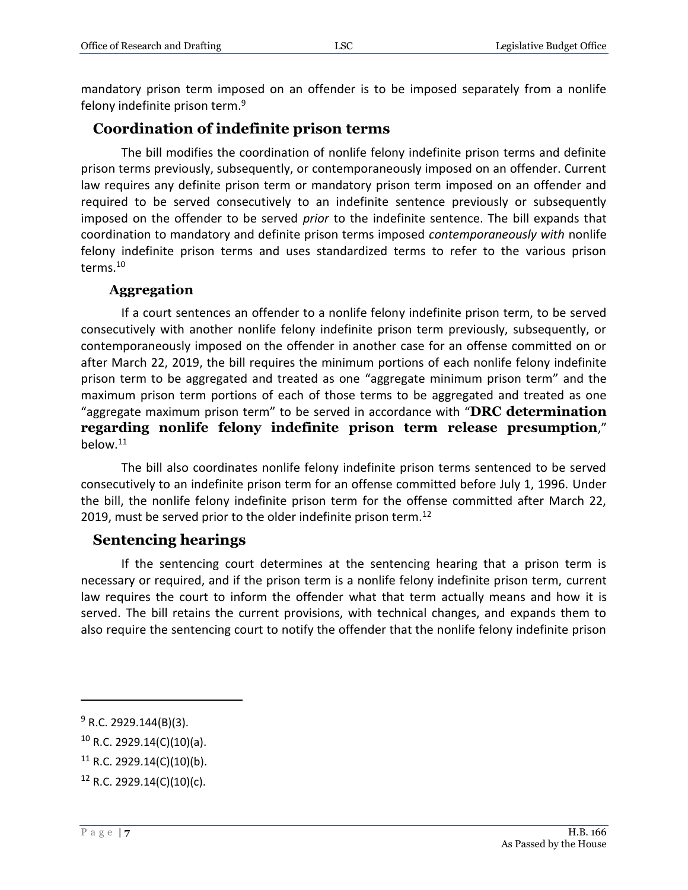mandatory prison term imposed on an offender is to be imposed separately from a nonlife felony indefinite prison term.<sup>9</sup>

## <span id="page-6-0"></span>**Coordination of indefinite prison terms**

The bill modifies the coordination of nonlife felony indefinite prison terms and definite prison terms previously, subsequently, or contemporaneously imposed on an offender. Current law requires any definite prison term or mandatory prison term imposed on an offender and required to be served consecutively to an indefinite sentence previously or subsequently imposed on the offender to be served *prior* to the indefinite sentence. The bill expands that coordination to mandatory and definite prison terms imposed *contemporaneously with* nonlife felony indefinite prison terms and uses standardized terms to refer to the various prison terms.<sup>10</sup>

#### **Aggregation**

<span id="page-6-1"></span>If a court sentences an offender to a nonlife felony indefinite prison term, to be served consecutively with another nonlife felony indefinite prison term previously, subsequently, or contemporaneously imposed on the offender in another case for an offense committed on or after March 22, 2019, the bill requires the minimum portions of each nonlife felony indefinite prison term to be aggregated and treated as one "aggregate minimum prison term" and the maximum prison term portions of each of those terms to be aggregated and treated as one "aggregate maximum prison term" to be served in accordance with "**DRC determination regarding nonlife felony indefinite prison term release presumption**," below.<sup>11</sup>

The bill also coordinates nonlife felony indefinite prison terms sentenced to be served consecutively to an indefinite prison term for an offense committed before July 1, 1996. Under the bill, the nonlife felony indefinite prison term for the offense committed after March 22, 2019, must be served prior to the older indefinite prison term.<sup>12</sup>

#### <span id="page-6-2"></span>**Sentencing hearings**

If the sentencing court determines at the sentencing hearing that a prison term is necessary or required, and if the prison term is a nonlife felony indefinite prison term, current law requires the court to inform the offender what that term actually means and how it is served. The bill retains the current provisions, with technical changes, and expands them to also require the sentencing court to notify the offender that the nonlife felony indefinite prison

 $9$  R.C. 2929.144(B)(3).

 $10$  R.C. 2929.14(C)(10)(a).

 $11$  R.C. 2929.14(C)(10)(b).

 $12$  R.C. 2929.14(C)(10)(c).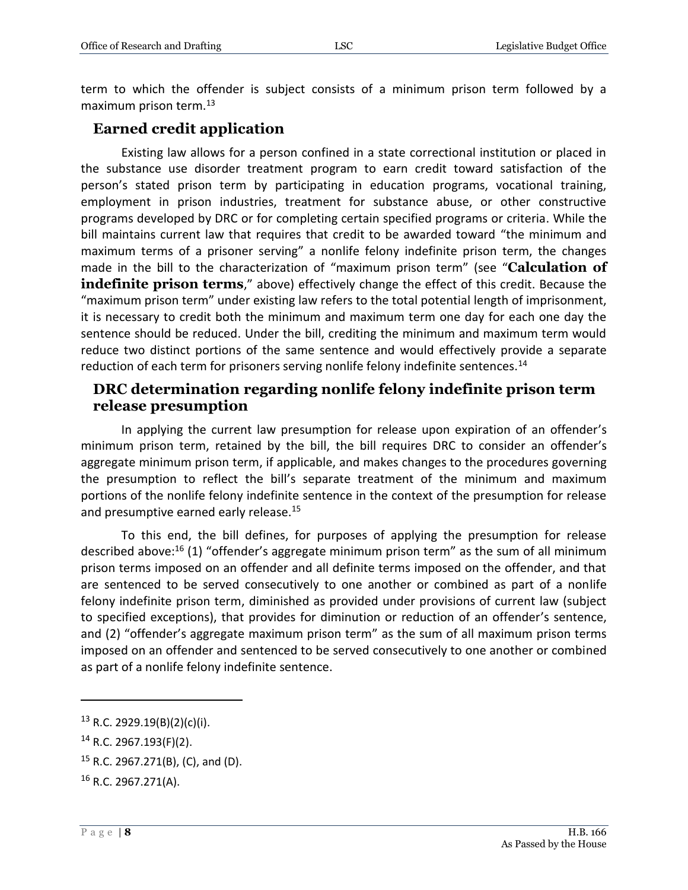term to which the offender is subject consists of a minimum prison term followed by a maximum prison term.<sup>13</sup>

## <span id="page-7-0"></span>**Earned credit application**

Existing law allows for a person confined in a state correctional institution or placed in the substance use disorder treatment program to earn credit toward satisfaction of the person's stated prison term by participating in education programs, vocational training, employment in prison industries, treatment for substance abuse, or other constructive programs developed by DRC or for completing certain specified programs or criteria. While the bill maintains current law that requires that credit to be awarded toward "the minimum and maximum terms of a prisoner serving" a nonlife felony indefinite prison term, the changes made in the bill to the characterization of "maximum prison term" (see "**Calculation of indefinite prison terms**," above) effectively change the effect of this credit. Because the "maximum prison term" under existing law refers to the total potential length of imprisonment, it is necessary to credit both the minimum and maximum term one day for each one day the sentence should be reduced. Under the bill, crediting the minimum and maximum term would reduce two distinct portions of the same sentence and would effectively provide a separate reduction of each term for prisoners serving nonlife felony indefinite sentences.<sup>14</sup>

#### <span id="page-7-1"></span>**DRC determination regarding nonlife felony indefinite prison term release presumption**

In applying the current law presumption for release upon expiration of an offender's minimum prison term, retained by the bill, the bill requires DRC to consider an offender's aggregate minimum prison term, if applicable, and makes changes to the procedures governing the presumption to reflect the bill's separate treatment of the minimum and maximum portions of the nonlife felony indefinite sentence in the context of the presumption for release and presumptive earned early release.<sup>15</sup>

To this end, the bill defines, for purposes of applying the presumption for release described above: <sup>16</sup> (1) "offender's aggregate minimum prison term" as the sum of all minimum prison terms imposed on an offender and all definite terms imposed on the offender, and that are sentenced to be served consecutively to one another or combined as part of a nonlife felony indefinite prison term, diminished as provided under provisions of current law (subject to specified exceptions), that provides for diminution or reduction of an offender's sentence, and (2) "offender's aggregate maximum prison term" as the sum of all maximum prison terms imposed on an offender and sentenced to be served consecutively to one another or combined as part of a nonlife felony indefinite sentence.

 $13$  R.C. 2929.19(B)(2)(c)(i).

<sup>14</sup> R.C. 2967.193(F)(2).

<sup>15</sup> R.C. 2967.271(B), (C), and (D).

<sup>16</sup> R.C. 2967.271(A).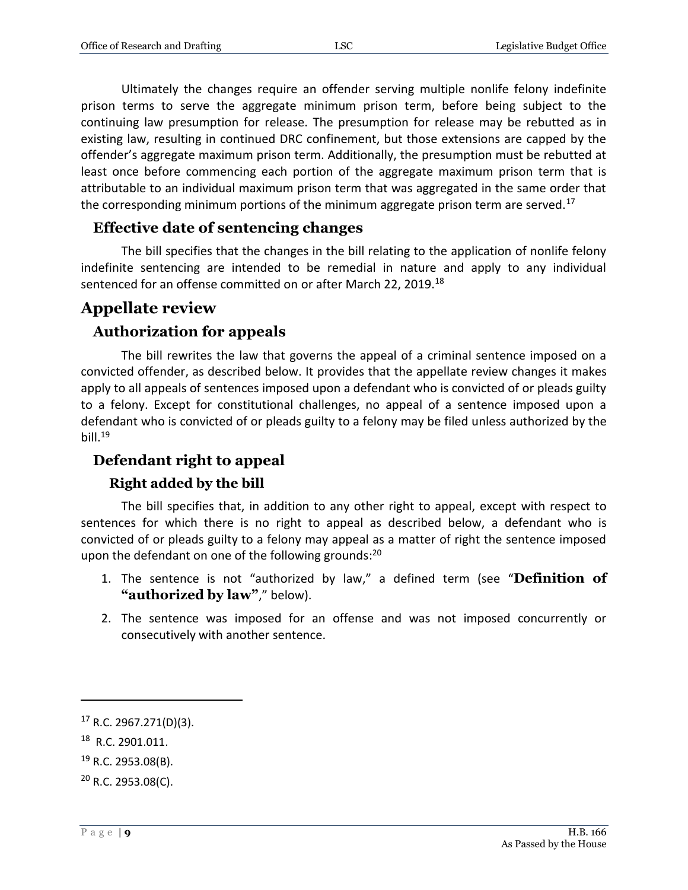Ultimately the changes require an offender serving multiple nonlife felony indefinite prison terms to serve the aggregate minimum prison term, before being subject to the continuing law presumption for release. The presumption for release may be rebutted as in existing law, resulting in continued DRC confinement, but those extensions are capped by the offender's aggregate maximum prison term. Additionally, the presumption must be rebutted at least once before commencing each portion of the aggregate maximum prison term that is attributable to an individual maximum prison term that was aggregated in the same order that the corresponding minimum portions of the minimum aggregate prison term are served.<sup>17</sup>

## <span id="page-8-0"></span>**Effective date of sentencing changes**

The bill specifies that the changes in the bill relating to the application of nonlife felony indefinite sentencing are intended to be remedial in nature and apply to any individual sentenced for an offense committed on or after March 22, 2019.<sup>18</sup>

## <span id="page-8-1"></span>**Appellate review**

## <span id="page-8-2"></span>**Authorization for appeals**

The bill rewrites the law that governs the appeal of a criminal sentence imposed on a convicted offender, as described below. It provides that the appellate review changes it makes apply to all appeals of sentences imposed upon a defendant who is convicted of or pleads guilty to a felony. Except for constitutional challenges, no appeal of a sentence imposed upon a defendant who is convicted of or pleads guilty to a felony may be filed unless authorized by the bill. $19$ 

## <span id="page-8-3"></span>**Defendant right to appeal**

#### **Right added by the bill**

<span id="page-8-4"></span>The bill specifies that, in addition to any other right to appeal, except with respect to sentences for which there is no right to appeal as described below, a defendant who is convicted of or pleads guilty to a felony may appeal as a matter of right the sentence imposed upon the defendant on one of the following grounds:<sup>20</sup>

- 1. The sentence is not "authorized by law," a defined term (see "**Definition of "authorized by law"**," below).
- 2. The sentence was imposed for an offense and was not imposed concurrently or consecutively with another sentence.

<sup>17</sup> R.C. 2967.271(D)(3).

<sup>18</sup> R.C. 2901.011.

 $19$  R.C. 2953.08(B).

 $20$  R.C. 2953.08(C).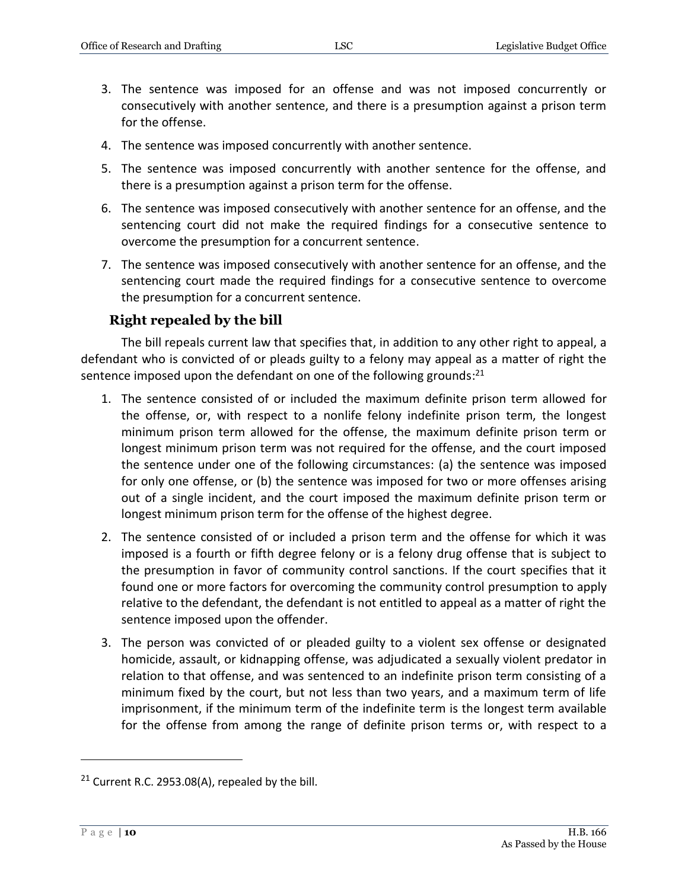- 3. The sentence was imposed for an offense and was not imposed concurrently or consecutively with another sentence, and there is a presumption against a prison term for the offense.
- 4. The sentence was imposed concurrently with another sentence.
- 5. The sentence was imposed concurrently with another sentence for the offense, and there is a presumption against a prison term for the offense.
- 6. The sentence was imposed consecutively with another sentence for an offense, and the sentencing court did not make the required findings for a consecutive sentence to overcome the presumption for a concurrent sentence.
- 7. The sentence was imposed consecutively with another sentence for an offense, and the sentencing court made the required findings for a consecutive sentence to overcome the presumption for a concurrent sentence.

#### **Right repealed by the bill**

<span id="page-9-0"></span>The bill repeals current law that specifies that, in addition to any other right to appeal, a defendant who is convicted of or pleads guilty to a felony may appeal as a matter of right the sentence imposed upon the defendant on one of the following grounds: $^{21}$ 

- 1. The sentence consisted of or included the maximum definite prison term allowed for the offense, or, with respect to a nonlife felony indefinite prison term, the longest minimum prison term allowed for the offense, the maximum definite prison term or longest minimum prison term was not required for the offense, and the court imposed the sentence under one of the following circumstances: (a) the sentence was imposed for only one offense, or (b) the sentence was imposed for two or more offenses arising out of a single incident, and the court imposed the maximum definite prison term or longest minimum prison term for the offense of the highest degree.
- 2. The sentence consisted of or included a prison term and the offense for which it was imposed is a fourth or fifth degree felony or is a felony drug offense that is subject to the presumption in favor of community control sanctions. If the court specifies that it found one or more factors for overcoming the community control presumption to apply relative to the defendant, the defendant is not entitled to appeal as a matter of right the sentence imposed upon the offender.
- 3. The person was convicted of or pleaded guilty to a violent sex offense or designated homicide, assault, or kidnapping offense, was adjudicated a sexually violent predator in relation to that offense, and was sentenced to an indefinite prison term consisting of a minimum fixed by the court, but not less than two years, and a maximum term of life imprisonment, if the minimum term of the indefinite term is the longest term available for the offense from among the range of definite prison terms or, with respect to a

 $21$  Current R.C. 2953.08(A), repealed by the bill.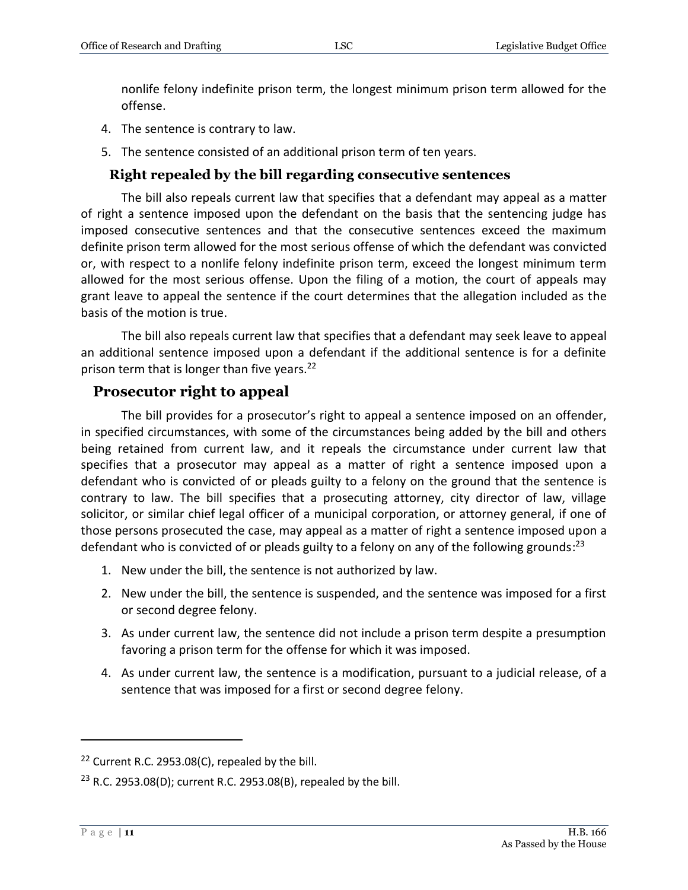nonlife felony indefinite prison term, the longest minimum prison term allowed for the offense.

- 4. The sentence is contrary to law.
- 5. The sentence consisted of an additional prison term of ten years.

#### **Right repealed by the bill regarding consecutive sentences**

<span id="page-10-0"></span>The bill also repeals current law that specifies that a defendant may appeal as a matter of right a sentence imposed upon the defendant on the basis that the sentencing judge has imposed consecutive sentences and that the consecutive sentences exceed the maximum definite prison term allowed for the most serious offense of which the defendant was convicted or, with respect to a nonlife felony indefinite prison term, exceed the longest minimum term allowed for the most serious offense. Upon the filing of a motion, the court of appeals may grant leave to appeal the sentence if the court determines that the allegation included as the basis of the motion is true.

The bill also repeals current law that specifies that a defendant may seek leave to appeal an additional sentence imposed upon a defendant if the additional sentence is for a definite prison term that is longer than five years.<sup>22</sup>

#### <span id="page-10-1"></span>**Prosecutor right to appeal**

The bill provides for a prosecutor's right to appeal a sentence imposed on an offender, in specified circumstances, with some of the circumstances being added by the bill and others being retained from current law, and it repeals the circumstance under current law that specifies that a prosecutor may appeal as a matter of right a sentence imposed upon a defendant who is convicted of or pleads guilty to a felony on the ground that the sentence is contrary to law. The bill specifies that a prosecuting attorney, city director of law, village solicitor, or similar chief legal officer of a municipal corporation, or attorney general, if one of those persons prosecuted the case, may appeal as a matter of right a sentence imposed upon a defendant who is convicted of or pleads guilty to a felony on any of the following grounds:<sup>23</sup>

- 1. New under the bill, the sentence is not authorized by law.
- 2. New under the bill, the sentence is suspended, and the sentence was imposed for a first or second degree felony.
- 3. As under current law, the sentence did not include a prison term despite a presumption favoring a prison term for the offense for which it was imposed.
- 4. As under current law, the sentence is a modification, pursuant to a judicial release, of a sentence that was imposed for a first or second degree felony.

<sup>&</sup>lt;sup>22</sup> Current R.C. 2953.08(C), repealed by the bill.

<sup>&</sup>lt;sup>23</sup> R.C. 2953.08(D); current R.C. 2953.08(B), repealed by the bill.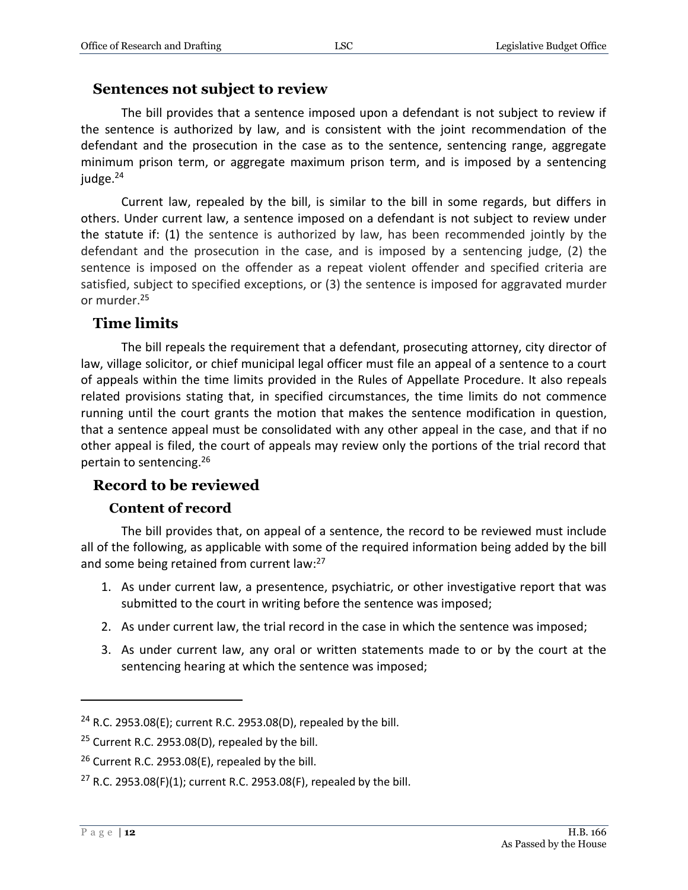#### <span id="page-11-0"></span>**Sentences not subject to review**

The bill provides that a sentence imposed upon a defendant is not subject to review if the sentence is authorized by law, and is consistent with the joint recommendation of the defendant and the prosecution in the case as to the sentence, sentencing range, aggregate minimum prison term, or aggregate maximum prison term, and is imposed by a sentencing judge. $24$ 

Current law, repealed by the bill, is similar to the bill in some regards, but differs in others. Under current law, a sentence imposed on a defendant is not subject to review under the statute if: (1) the sentence is authorized by law, has been recommended jointly by the defendant and the prosecution in the case, and is imposed by a sentencing judge, (2) the sentence is imposed on the offender as a repeat violent offender and specified criteria are satisfied, subject to specified exceptions, or (3) the sentence is imposed for aggravated murder or murder. 25

## <span id="page-11-1"></span>**Time limits**

The bill repeals the requirement that a defendant, prosecuting attorney, city director of law, village solicitor, or chief municipal legal officer must file an appeal of a sentence to a court of appeals within the time limits provided in the Rules of Appellate Procedure. It also repeals related provisions stating that, in specified circumstances, the time limits do not commence running until the court grants the motion that makes the sentence modification in question, that a sentence appeal must be consolidated with any other appeal in the case, and that if no other appeal is filed, the court of appeals may review only the portions of the trial record that pertain to sentencing. 26

#### <span id="page-11-2"></span>**Record to be reviewed**

#### **Content of record**

<span id="page-11-3"></span>The bill provides that, on appeal of a sentence, the record to be reviewed must include all of the following, as applicable with some of the required information being added by the bill and some being retained from current law:<sup>27</sup>

- 1. As under current law, a presentence, psychiatric, or other investigative report that was submitted to the court in writing before the sentence was imposed;
- 2. As under current law, the trial record in the case in which the sentence was imposed;
- 3. As under current law, any oral or written statements made to or by the court at the sentencing hearing at which the sentence was imposed;

<sup>24</sup> R.C. 2953.08(E); current R.C. 2953.08(D), repealed by the bill.

 $25$  Current R.C. 2953.08(D), repealed by the bill.

 $26$  Current R.C. 2953.08(E), repealed by the bill.

<sup>&</sup>lt;sup>27</sup> R.C. 2953.08(F)(1); current R.C. 2953.08(F), repealed by the bill.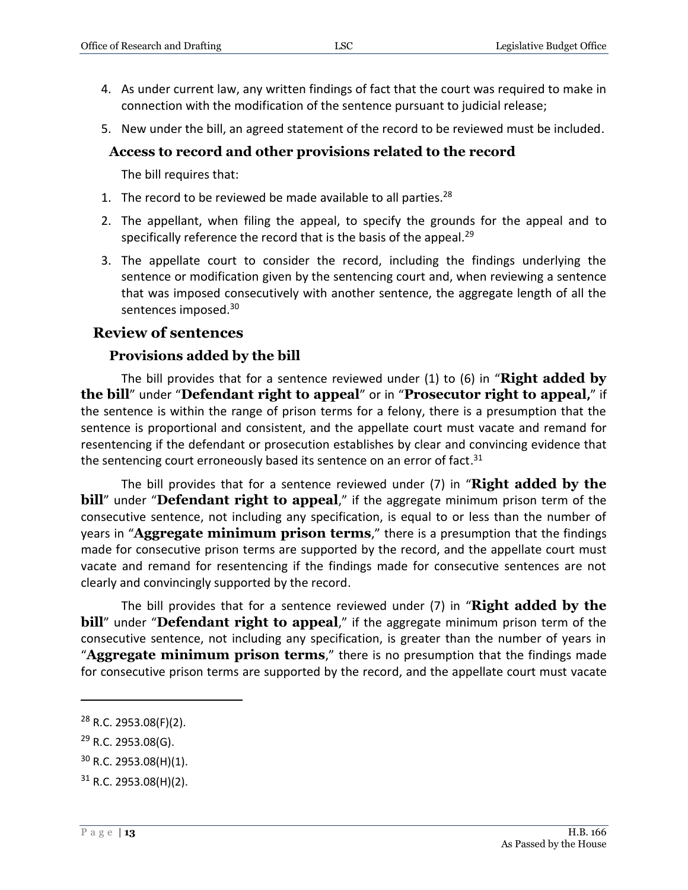- 4. As under current law, any written findings of fact that the court was required to make in connection with the modification of the sentence pursuant to judicial release;
- 5. New under the bill, an agreed statement of the record to be reviewed must be included.

#### <span id="page-12-0"></span>**Access to record and other provisions related to the record**

The bill requires that:

- 1. The record to be reviewed be made available to all parties. $^{28}$
- 2. The appellant, when filing the appeal, to specify the grounds for the appeal and to specifically reference the record that is the basis of the appeal.<sup>29</sup>
- 3. The appellate court to consider the record, including the findings underlying the sentence or modification given by the sentencing court and, when reviewing a sentence that was imposed consecutively with another sentence, the aggregate length of all the sentences imposed.<sup>30</sup>

#### <span id="page-12-1"></span>**Review of sentences**

#### **Provisions added by the bill**

<span id="page-12-2"></span>The bill provides that for a sentence reviewed under (1) to (6) in "**Right added by the bill**" under "**Defendant right to appeal**" or in "**Prosecutor right to appeal,**" if the sentence is within the range of prison terms for a felony, there is a presumption that the sentence is proportional and consistent, and the appellate court must vacate and remand for resentencing if the defendant or prosecution establishes by clear and convincing evidence that the sentencing court erroneously based its sentence on an error of fact.<sup>31</sup>

The bill provides that for a sentence reviewed under (7) in "**Right added by the bill**" under "**Defendant right to appeal**," if the aggregate minimum prison term of the consecutive sentence, not including any specification, is equal to or less than the number of years in "**Aggregate minimum prison terms**," there is a presumption that the findings made for consecutive prison terms are supported by the record, and the appellate court must vacate and remand for resentencing if the findings made for consecutive sentences are not clearly and convincingly supported by the record.

The bill provides that for a sentence reviewed under (7) in "**Right added by the bill**" under "**Defendant right to appeal**," if the aggregate minimum prison term of the consecutive sentence, not including any specification, is greater than the number of years in "**Aggregate minimum prison terms**," there is no presumption that the findings made for consecutive prison terms are supported by the record, and the appellate court must vacate

<sup>28</sup> R.C. 2953.08(F)(2).

 $29$  R.C. 2953.08(G).

<sup>30</sup> R.C. 2953.08(H)(1).

 $31$  R.C. 2953.08(H)(2).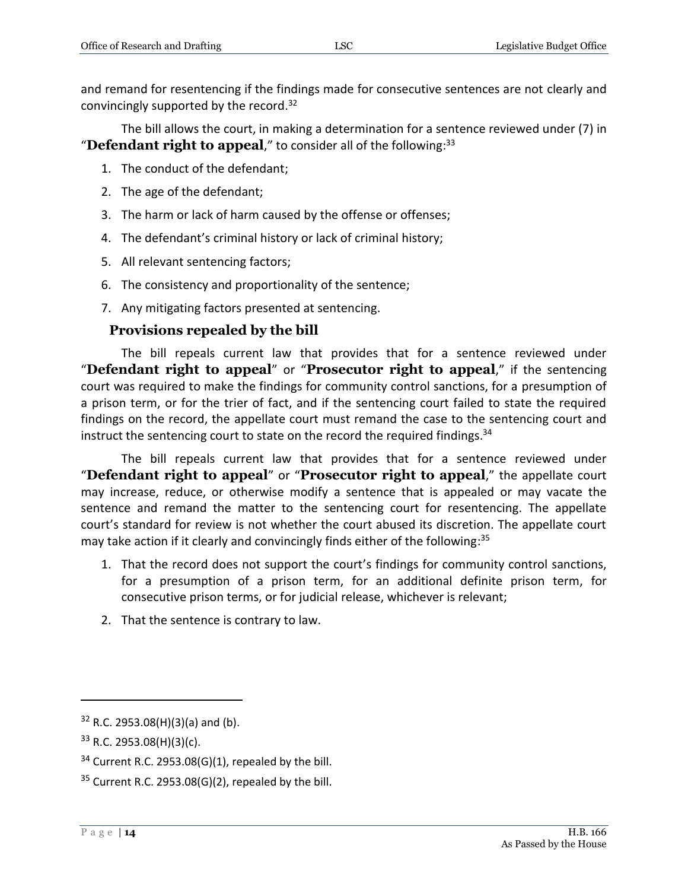and remand for resentencing if the findings made for consecutive sentences are not clearly and convincingly supported by the record.<sup>32</sup>

The bill allows the court, in making a determination for a sentence reviewed under (7) in "Defendant right to appeal," to consider all of the following:<sup>33</sup>

- 1. The conduct of the defendant;
- 2. The age of the defendant;
- 3. The harm or lack of harm caused by the offense or offenses;
- 4. The defendant's criminal history or lack of criminal history;
- 5. All relevant sentencing factors;
- 6. The consistency and proportionality of the sentence;
- 7. Any mitigating factors presented at sentencing.

## **Provisions repealed by the bill**

<span id="page-13-0"></span>The bill repeals current law that provides that for a sentence reviewed under "**Defendant right to appeal**" or "**Prosecutor right to appeal**," if the sentencing court was required to make the findings for community control sanctions, for a presumption of a prison term, or for the trier of fact, and if the sentencing court failed to state the required findings on the record, the appellate court must remand the case to the sentencing court and instruct the sentencing court to state on the record the required findings.<sup>34</sup>

The bill repeals current law that provides that for a sentence reviewed under "**Defendant right to appeal**" or "**Prosecutor right to appeal**," the appellate court may increase, reduce, or otherwise modify a sentence that is appealed or may vacate the sentence and remand the matter to the sentencing court for resentencing. The appellate court's standard for review is not whether the court abused its discretion. The appellate court may take action if it clearly and convincingly finds either of the following: 35

- 1. That the record does not support the court's findings for community control sanctions, for a presumption of a prison term, for an additional definite prison term, for consecutive prison terms, or for judicial release, whichever is relevant;
- 2. That the sentence is contrary to law.

 $32$  R.C. 2953.08(H)(3)(a) and (b).

 $33$  R.C. 2953.08(H)(3)(c).

 $34$  Current R.C. 2953.08(G)(1), repealed by the bill.

 $35$  Current R.C. 2953.08(G)(2), repealed by the bill.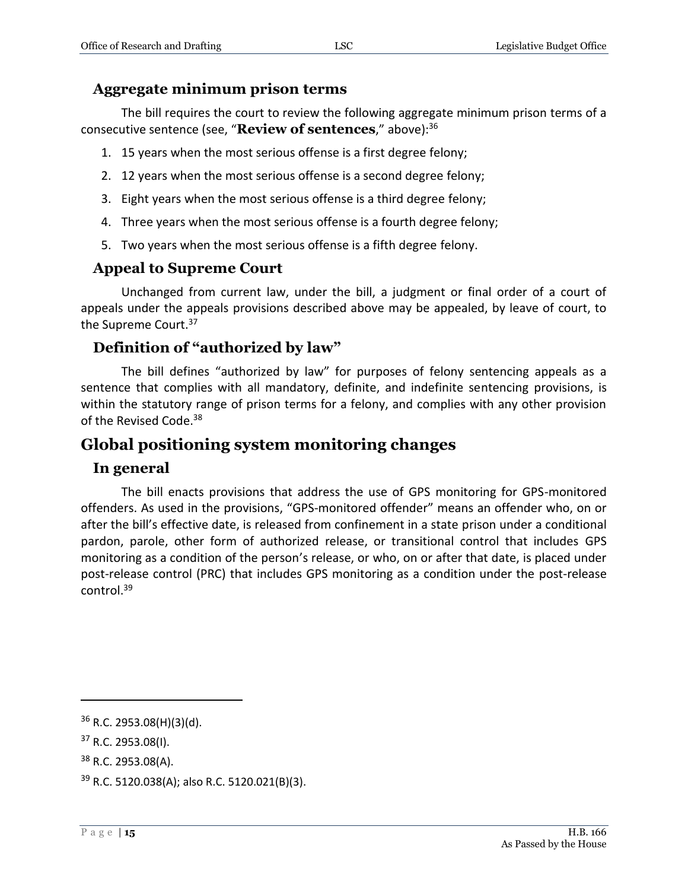#### <span id="page-14-0"></span>**Aggregate minimum prison terms**

The bill requires the court to review the following aggregate minimum prison terms of a consecutive sentence (see, "**Review of sentences**," above):<sup>36</sup>

- 1. 15 years when the most serious offense is a first degree felony;
- 2. 12 years when the most serious offense is a second degree felony;
- 3. Eight years when the most serious offense is a third degree felony;
- 4. Three years when the most serious offense is a fourth degree felony;
- 5. Two years when the most serious offense is a fifth degree felony.

## <span id="page-14-1"></span>**Appeal to Supreme Court**

Unchanged from current law, under the bill, a judgment or final order of a court of appeals under the appeals provisions described above may be appealed, by leave of court, to the Supreme Court.<sup>37</sup>

## <span id="page-14-2"></span>**Definition of "authorized by law"**

The bill defines "authorized by law" for purposes of felony sentencing appeals as a sentence that complies with all mandatory, definite, and indefinite sentencing provisions, is within the statutory range of prison terms for a felony, and complies with any other provision of the Revised Code.<sup>38</sup>

## <span id="page-14-3"></span>**Global positioning system monitoring changes**

#### <span id="page-14-4"></span>**In general**

The bill enacts provisions that address the use of GPS monitoring for GPS-monitored offenders. As used in the provisions, "GPS-monitored offender" means an offender who, on or after the bill's effective date, is released from confinement in a state prison under a conditional pardon, parole, other form of authorized release, or transitional control that includes GPS monitoring as a condition of the person's release, or who, on or after that date, is placed under post-release control (PRC) that includes GPS monitoring as a condition under the post-release control. 39

 $\overline{a}$ 

<sup>38</sup> R.C. 2953.08(A).

 $36$  R.C. 2953.08(H)(3)(d).

<sup>37</sup> R.C. 2953.08(I).

<sup>39</sup> R.C. 5120.038(A); also R.C. 5120.021(B)(3).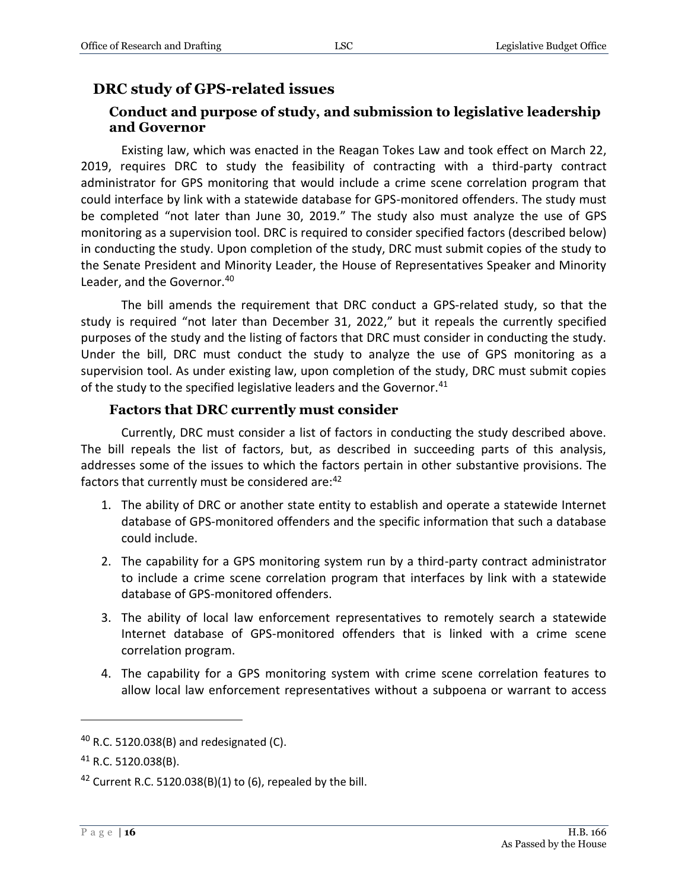## <span id="page-15-1"></span><span id="page-15-0"></span>**DRC study of GPS-related issues**

#### **Conduct and purpose of study, and submission to legislative leadership and Governor**

Existing law, which was enacted in the Reagan Tokes Law and took effect on March 22, 2019, requires DRC to study the feasibility of contracting with a third-party contract administrator for GPS monitoring that would include a crime scene correlation program that could interface by link with a statewide database for GPS-monitored offenders. The study must be completed "not later than June 30, 2019." The study also must analyze the use of GPS monitoring as a supervision tool. DRC is required to consider specified factors (described below) in conducting the study. Upon completion of the study, DRC must submit copies of the study to the Senate President and Minority Leader, the House of Representatives Speaker and Minority Leader, and the Governor.<sup>40</sup>

The bill amends the requirement that DRC conduct a GPS-related study, so that the study is required "not later than December 31, 2022," but it repeals the currently specified purposes of the study and the listing of factors that DRC must consider in conducting the study. Under the bill, DRC must conduct the study to analyze the use of GPS monitoring as a supervision tool. As under existing law, upon completion of the study, DRC must submit copies of the study to the specified legislative leaders and the Governor.<sup>41</sup>

#### **Factors that DRC currently must consider**

<span id="page-15-2"></span>Currently, DRC must consider a list of factors in conducting the study described above. The bill repeals the list of factors, but, as described in succeeding parts of this analysis, addresses some of the issues to which the factors pertain in other substantive provisions. The factors that currently must be considered are:<sup>42</sup>

- 1. The ability of DRC or another state entity to establish and operate a statewide Internet database of GPS-monitored offenders and the specific information that such a database could include.
- 2. The capability for a GPS monitoring system run by a third-party contract administrator to include a crime scene correlation program that interfaces by link with a statewide database of GPS-monitored offenders.
- 3. The ability of local law enforcement representatives to remotely search a statewide Internet database of GPS-monitored offenders that is linked with a crime scene correlation program.
- 4. The capability for a GPS monitoring system with crime scene correlation features to allow local law enforcement representatives without a subpoena or warrant to access

 $40$  R.C. 5120.038(B) and redesignated (C).

<sup>41</sup> R.C. 5120.038(B).

<sup>&</sup>lt;sup>42</sup> Current R.C. 5120.038(B)(1) to (6), repealed by the bill.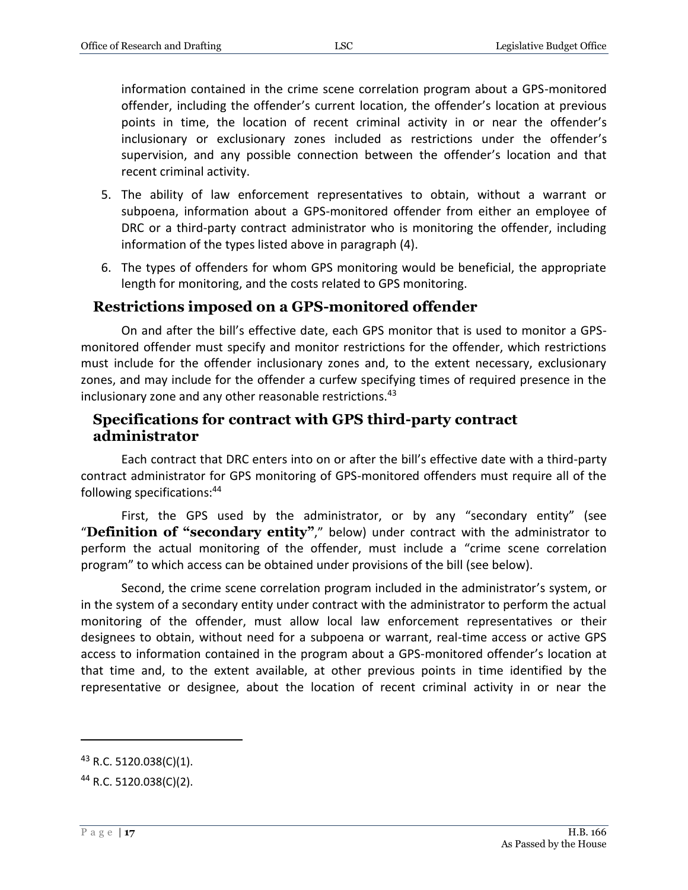information contained in the crime scene correlation program about a GPS-monitored offender, including the offender's current location, the offender's location at previous points in time, the location of recent criminal activity in or near the offender's inclusionary or exclusionary zones included as restrictions under the offender's supervision, and any possible connection between the offender's location and that recent criminal activity.

- 5. The ability of law enforcement representatives to obtain, without a warrant or subpoena, information about a GPS-monitored offender from either an employee of DRC or a third-party contract administrator who is monitoring the offender, including information of the types listed above in paragraph (4).
- 6. The types of offenders for whom GPS monitoring would be beneficial, the appropriate length for monitoring, and the costs related to GPS monitoring.

#### <span id="page-16-0"></span>**Restrictions imposed on a GPS-monitored offender**

On and after the bill's effective date, each GPS monitor that is used to monitor a GPSmonitored offender must specify and monitor restrictions for the offender, which restrictions must include for the offender inclusionary zones and, to the extent necessary, exclusionary zones, and may include for the offender a curfew specifying times of required presence in the inclusionary zone and any other reasonable restrictions.<sup>43</sup>

#### <span id="page-16-1"></span>**Specifications for contract with GPS third-party contract administrator**

Each contract that DRC enters into on or after the bill's effective date with a third-party contract administrator for GPS monitoring of GPS-monitored offenders must require all of the following specifications:<sup>44</sup>

First, the GPS used by the administrator, or by any "secondary entity" (see "**Definition of "secondary entity"**," below) under contract with the administrator to perform the actual monitoring of the offender, must include a "crime scene correlation program" to which access can be obtained under provisions of the bill (see below).

Second, the crime scene correlation program included in the administrator's system, or in the system of a secondary entity under contract with the administrator to perform the actual monitoring of the offender, must allow local law enforcement representatives or their designees to obtain, without need for a subpoena or warrant, real-time access or active GPS access to information contained in the program about a GPS-monitored offender's location at that time and, to the extent available, at other previous points in time identified by the representative or designee, about the location of recent criminal activity in or near the

<sup>43</sup> R.C. 5120.038(C)(1).

<sup>44</sup> R.C. 5120.038(C)(2).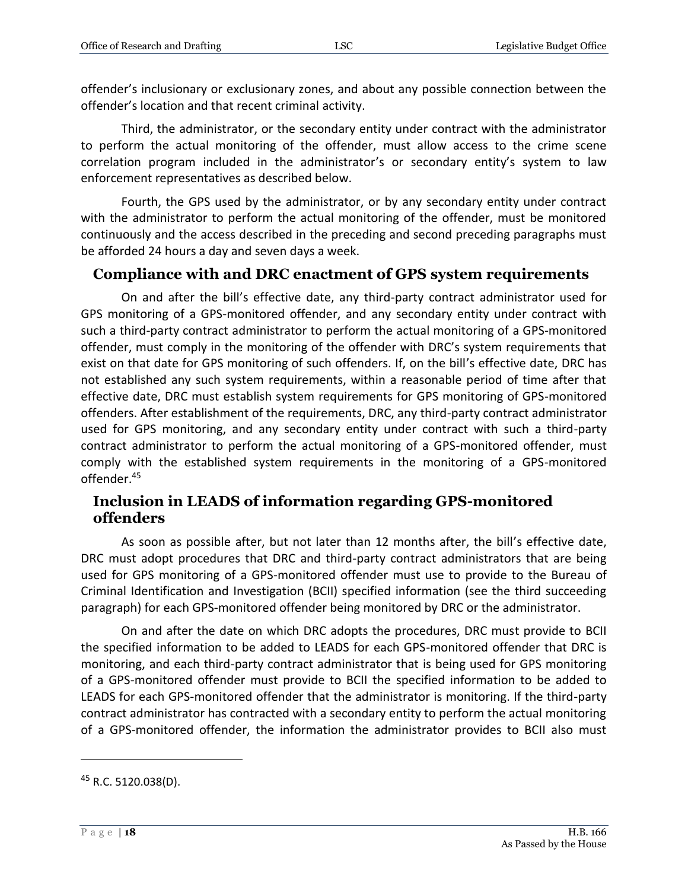offender's inclusionary or exclusionary zones, and about any possible connection between the offender's location and that recent criminal activity.

Third, the administrator, or the secondary entity under contract with the administrator to perform the actual monitoring of the offender, must allow access to the crime scene correlation program included in the administrator's or secondary entity's system to law enforcement representatives as described below.

Fourth, the GPS used by the administrator, or by any secondary entity under contract with the administrator to perform the actual monitoring of the offender, must be monitored continuously and the access described in the preceding and second preceding paragraphs must be afforded 24 hours a day and seven days a week.

## <span id="page-17-0"></span>**Compliance with and DRC enactment of GPS system requirements**

On and after the bill's effective date, any third-party contract administrator used for GPS monitoring of a GPS-monitored offender, and any secondary entity under contract with such a third-party contract administrator to perform the actual monitoring of a GPS-monitored offender, must comply in the monitoring of the offender with DRC's system requirements that exist on that date for GPS monitoring of such offenders. If, on the bill's effective date, DRC has not established any such system requirements, within a reasonable period of time after that effective date, DRC must establish system requirements for GPS monitoring of GPS-monitored offenders. After establishment of the requirements, DRC, any third-party contract administrator used for GPS monitoring, and any secondary entity under contract with such a third-party contract administrator to perform the actual monitoring of a GPS-monitored offender, must comply with the established system requirements in the monitoring of a GPS-monitored offender.<sup>45</sup>

## <span id="page-17-1"></span>**Inclusion in LEADS of information regarding GPS-monitored offenders**

As soon as possible after, but not later than 12 months after, the bill's effective date, DRC must adopt procedures that DRC and third-party contract administrators that are being used for GPS monitoring of a GPS-monitored offender must use to provide to the Bureau of Criminal Identification and Investigation (BCII) specified information (see the third succeeding paragraph) for each GPS-monitored offender being monitored by DRC or the administrator.

On and after the date on which DRC adopts the procedures, DRC must provide to BCII the specified information to be added to LEADS for each GPS-monitored offender that DRC is monitoring, and each third-party contract administrator that is being used for GPS monitoring of a GPS-monitored offender must provide to BCII the specified information to be added to LEADS for each GPS-monitored offender that the administrator is monitoring. If the third-party contract administrator has contracted with a secondary entity to perform the actual monitoring of a GPS-monitored offender, the information the administrator provides to BCII also must

 $45$  R.C. 5120.038(D).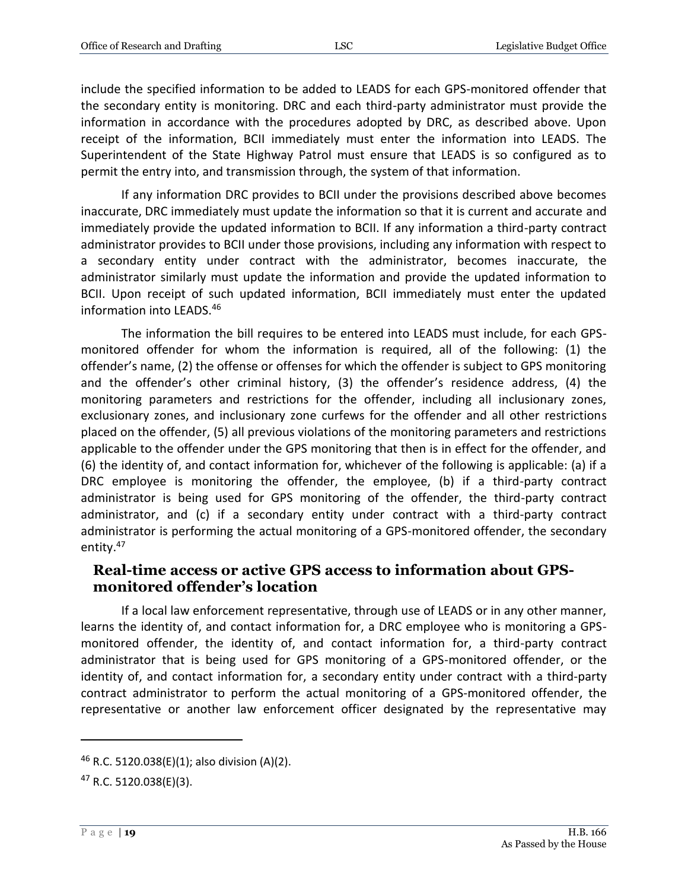include the specified information to be added to LEADS for each GPS-monitored offender that the secondary entity is monitoring. DRC and each third-party administrator must provide the information in accordance with the procedures adopted by DRC, as described above. Upon receipt of the information, BCII immediately must enter the information into LEADS. The Superintendent of the State Highway Patrol must ensure that LEADS is so configured as to permit the entry into, and transmission through, the system of that information.

If any information DRC provides to BCII under the provisions described above becomes inaccurate, DRC immediately must update the information so that it is current and accurate and immediately provide the updated information to BCII. If any information a third-party contract administrator provides to BCII under those provisions, including any information with respect to a secondary entity under contract with the administrator, becomes inaccurate, the administrator similarly must update the information and provide the updated information to BCII. Upon receipt of such updated information, BCII immediately must enter the updated information into LEADS.<sup>46</sup>

The information the bill requires to be entered into LEADS must include, for each GPSmonitored offender for whom the information is required, all of the following: (1) the offender's name, (2) the offense or offenses for which the offender is subject to GPS monitoring and the offender's other criminal history, (3) the offender's residence address, (4) the monitoring parameters and restrictions for the offender, including all inclusionary zones, exclusionary zones, and inclusionary zone curfews for the offender and all other restrictions placed on the offender, (5) all previous violations of the monitoring parameters and restrictions applicable to the offender under the GPS monitoring that then is in effect for the offender, and (6) the identity of, and contact information for, whichever of the following is applicable: (a) if a DRC employee is monitoring the offender, the employee, (b) if a third-party contract administrator is being used for GPS monitoring of the offender, the third-party contract administrator, and (c) if a secondary entity under contract with a third-party contract administrator is performing the actual monitoring of a GPS-monitored offender, the secondary entity.<sup>47</sup>

#### <span id="page-18-0"></span>**Real-time access or active GPS access to information about GPSmonitored offender's location**

If a local law enforcement representative, through use of LEADS or in any other manner, learns the identity of, and contact information for, a DRC employee who is monitoring a GPSmonitored offender, the identity of, and contact information for, a third-party contract administrator that is being used for GPS monitoring of a GPS-monitored offender, or the identity of, and contact information for, a secondary entity under contract with a third-party contract administrator to perform the actual monitoring of a GPS-monitored offender, the representative or another law enforcement officer designated by the representative may

 $46$  R.C. 5120.038(E)(1); also division (A)(2).

<sup>47</sup> R.C. 5120.038(E)(3).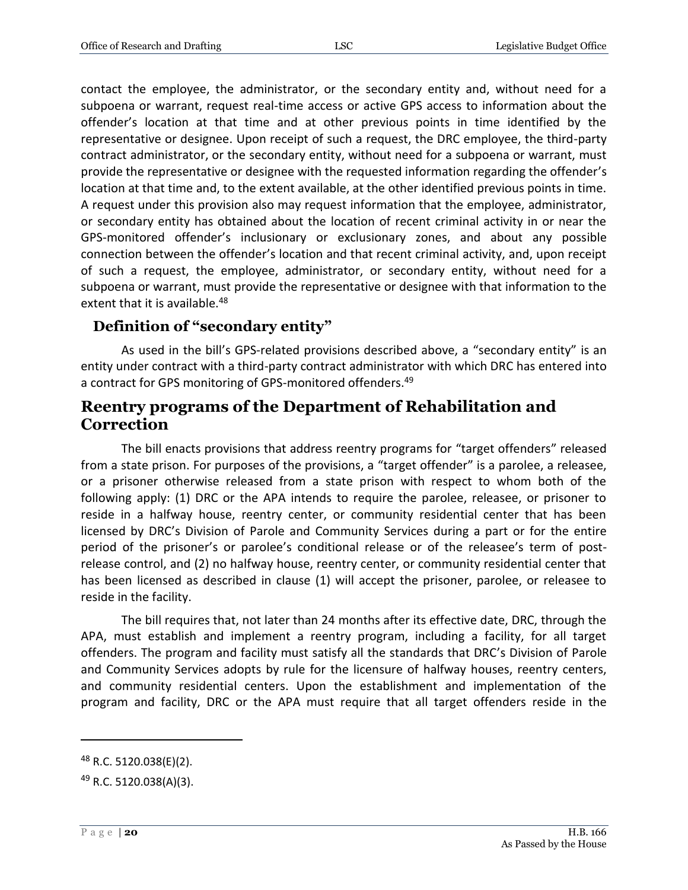contact the employee, the administrator, or the secondary entity and, without need for a subpoena or warrant, request real-time access or active GPS access to information about the offender's location at that time and at other previous points in time identified by the representative or designee. Upon receipt of such a request, the DRC employee, the third-party contract administrator, or the secondary entity, without need for a subpoena or warrant, must provide the representative or designee with the requested information regarding the offender's location at that time and, to the extent available, at the other identified previous points in time. A request under this provision also may request information that the employee, administrator, or secondary entity has obtained about the location of recent criminal activity in or near the GPS-monitored offender's inclusionary or exclusionary zones, and about any possible connection between the offender's location and that recent criminal activity, and, upon receipt of such a request, the employee, administrator, or secondary entity, without need for a subpoena or warrant, must provide the representative or designee with that information to the extent that it is available.<sup>48</sup>

## <span id="page-19-0"></span>**Definition of "secondary entity"**

As used in the bill's GPS-related provisions described above, a "secondary entity" is an entity under contract with a third-party contract administrator with which DRC has entered into a contract for GPS monitoring of GPS-monitored offenders.<sup>49</sup>

## <span id="page-19-1"></span>**Reentry programs of the Department of Rehabilitation and Correction**

The bill enacts provisions that address reentry programs for "target offenders" released from a state prison. For purposes of the provisions, a "target offender" is a parolee, a releasee, or a prisoner otherwise released from a state prison with respect to whom both of the following apply: (1) DRC or the APA intends to require the parolee, releasee, or prisoner to reside in a halfway house, reentry center, or community residential center that has been licensed by DRC's Division of Parole and Community Services during a part or for the entire period of the prisoner's or parolee's conditional release or of the releasee's term of postrelease control, and (2) no halfway house, reentry center, or community residential center that has been licensed as described in clause (1) will accept the prisoner, parolee, or releasee to reside in the facility.

The bill requires that, not later than 24 months after its effective date, DRC, through the APA, must establish and implement a reentry program, including a facility, for all target offenders. The program and facility must satisfy all the standards that DRC's Division of Parole and Community Services adopts by rule for the licensure of halfway houses, reentry centers, and community residential centers. Upon the establishment and implementation of the program and facility, DRC or the APA must require that all target offenders reside in the

<sup>&</sup>lt;sup>48</sup> R.C. 5120.038(E)(2).

<sup>49</sup> R.C. 5120.038(A)(3).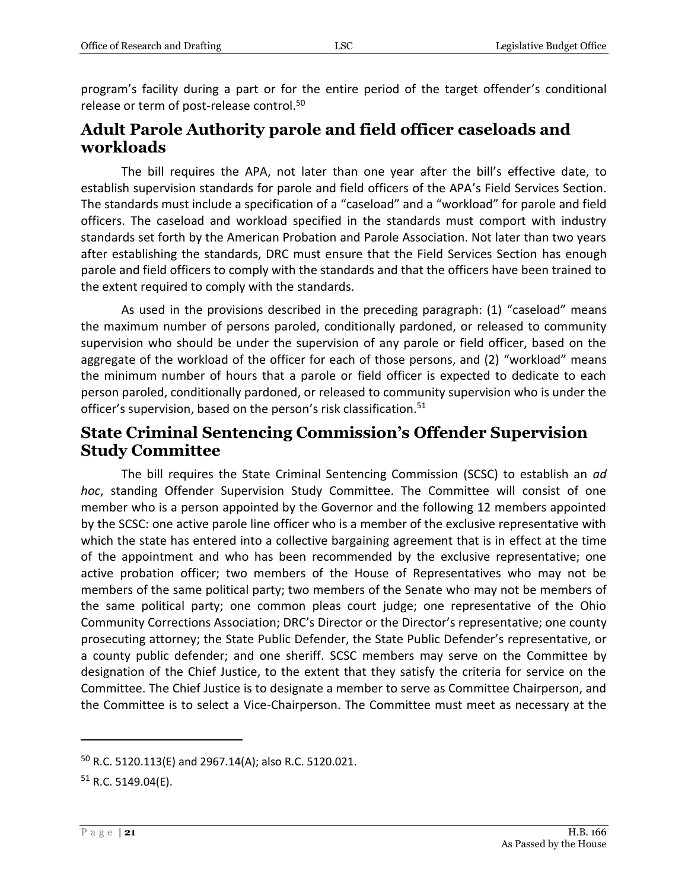program's facility during a part or for the entire period of the target offender's conditional release or term of post-release control.<sup>50</sup>

## <span id="page-20-0"></span>**Adult Parole Authority parole and field officer caseloads and workloads**

The bill requires the APA, not later than one year after the bill's effective date, to establish supervision standards for parole and field officers of the APA's Field Services Section. The standards must include a specification of a "caseload" and a "workload" for parole and field officers. The caseload and workload specified in the standards must comport with industry standards set forth by the American Probation and Parole Association. Not later than two years after establishing the standards, DRC must ensure that the Field Services Section has enough parole and field officers to comply with the standards and that the officers have been trained to the extent required to comply with the standards.

As used in the provisions described in the preceding paragraph: (1) "caseload" means the maximum number of persons paroled, conditionally pardoned, or released to community supervision who should be under the supervision of any parole or field officer, based on the aggregate of the workload of the officer for each of those persons, and (2) "workload" means the minimum number of hours that a parole or field officer is expected to dedicate to each person paroled, conditionally pardoned, or released to community supervision who is under the officer's supervision, based on the person's risk classification.<sup>51</sup>

## <span id="page-20-1"></span>**State Criminal Sentencing Commission's Offender Supervision Study Committee**

The bill requires the State Criminal Sentencing Commission (SCSC) to establish an *ad hoc*, standing Offender Supervision Study Committee. The Committee will consist of one member who is a person appointed by the Governor and the following 12 members appointed by the SCSC: one active parole line officer who is a member of the exclusive representative with which the state has entered into a collective bargaining agreement that is in effect at the time of the appointment and who has been recommended by the exclusive representative; one active probation officer; two members of the House of Representatives who may not be members of the same political party; two members of the Senate who may not be members of the same political party; one common pleas court judge; one representative of the Ohio Community Corrections Association; DRC's Director or the Director's representative; one county prosecuting attorney; the State Public Defender, the State Public Defender's representative, or a county public defender; and one sheriff. SCSC members may serve on the Committee by designation of the Chief Justice, to the extent that they satisfy the criteria for service on the Committee. The Chief Justice is to designate a member to serve as Committee Chairperson, and the Committee is to select a Vice-Chairperson. The Committee must meet as necessary at the

<sup>50</sup> R.C. 5120.113(E) and 2967.14(A); also R.C. 5120.021.

 $51$  R.C. 5149.04(E).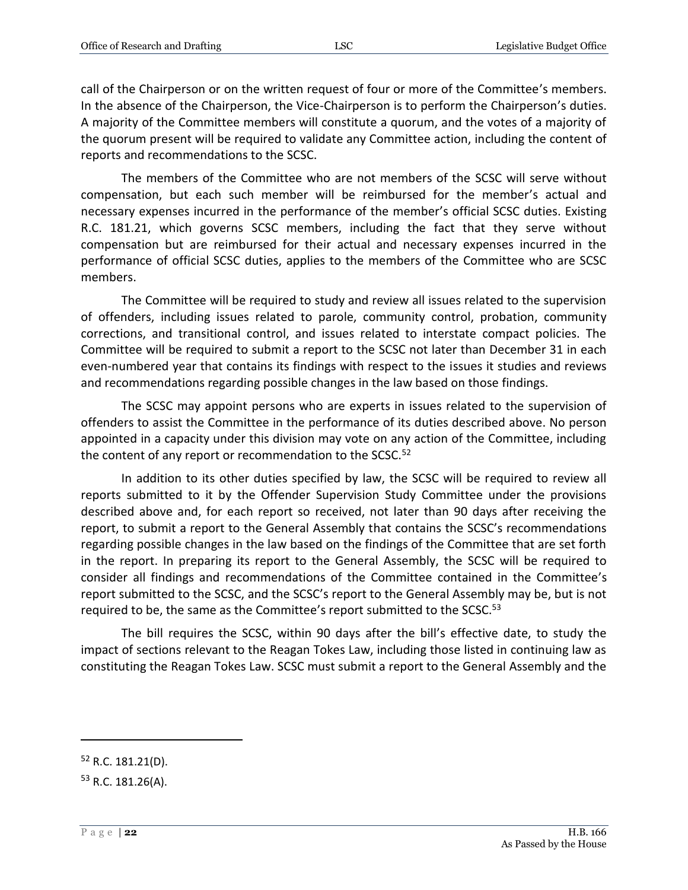call of the Chairperson or on the written request of four or more of the Committee's members. In the absence of the Chairperson, the Vice-Chairperson is to perform the Chairperson's duties. A majority of the Committee members will constitute a quorum, and the votes of a majority of the quorum present will be required to validate any Committee action, including the content of reports and recommendations to the SCSC.

The members of the Committee who are not members of the SCSC will serve without compensation, but each such member will be reimbursed for the member's actual and necessary expenses incurred in the performance of the member's official SCSC duties. Existing R.C. 181.21, which governs SCSC members, including the fact that they serve without compensation but are reimbursed for their actual and necessary expenses incurred in the performance of official SCSC duties, applies to the members of the Committee who are SCSC members.

The Committee will be required to study and review all issues related to the supervision of offenders, including issues related to parole, community control, probation, community corrections, and transitional control, and issues related to interstate compact policies. The Committee will be required to submit a report to the SCSC not later than December 31 in each even-numbered year that contains its findings with respect to the issues it studies and reviews and recommendations regarding possible changes in the law based on those findings.

The SCSC may appoint persons who are experts in issues related to the supervision of offenders to assist the Committee in the performance of its duties described above. No person appointed in a capacity under this division may vote on any action of the Committee, including the content of any report or recommendation to the SCSC.<sup>52</sup>

In addition to its other duties specified by law, the SCSC will be required to review all reports submitted to it by the Offender Supervision Study Committee under the provisions described above and, for each report so received, not later than 90 days after receiving the report, to submit a report to the General Assembly that contains the SCSC's recommendations regarding possible changes in the law based on the findings of the Committee that are set forth in the report. In preparing its report to the General Assembly, the SCSC will be required to consider all findings and recommendations of the Committee contained in the Committee's report submitted to the SCSC, and the SCSC's report to the General Assembly may be, but is not required to be, the same as the Committee's report submitted to the SCSC.<sup>53</sup>

The bill requires the SCSC, within 90 days after the bill's effective date, to study the impact of sections relevant to the Reagan Tokes Law, including those listed in continuing law as constituting the Reagan Tokes Law. SCSC must submit a report to the General Assembly and the

<sup>52</sup> R.C. 181.21(D).

<sup>53</sup> R.C. 181.26(A).